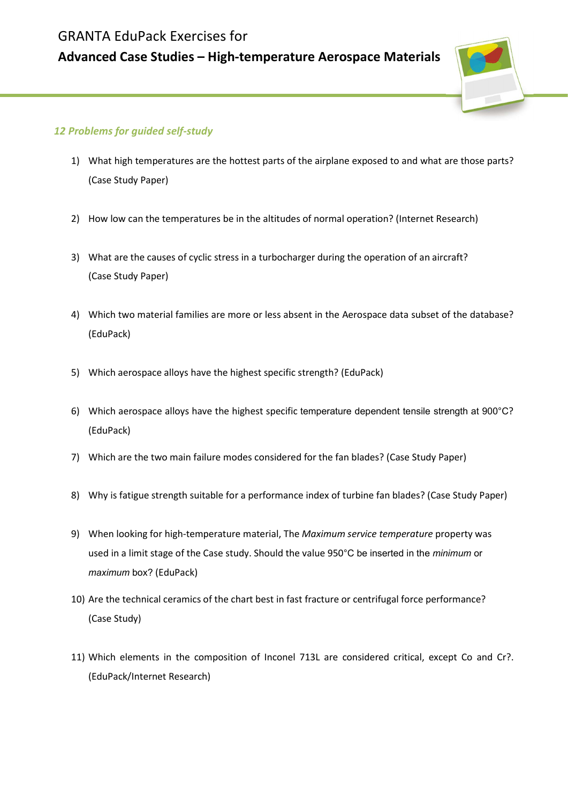## GRANTA EduPack Exercises for

## Advanced Case Studies – High-temperature Aerospace Materials



## 12 Problems for guided self-study

- 1) What high temperatures are the hottest parts of the airplane exposed to and what are those parts? (Case Study Paper)
- 2) How low can the temperatures be in the altitudes of normal operation? (Internet Research)
- 3) What are the causes of cyclic stress in a turbocharger during the operation of an aircraft? (Case Study Paper)
- 4) Which two material families are more or less absent in the Aerospace data subset of the database? (EduPack)
- 5) Which aerospace alloys have the highest specific strength? (EduPack)
- 6) Which aerospace alloys have the highest specific temperature dependent tensile strength at 900°C? (EduPack)
- 7) Which are the two main failure modes considered for the fan blades? (Case Study Paper)
- 8) Why is fatigue strength suitable for a performance index of turbine fan blades? (Case Study Paper)
- 9) When looking for high-temperature material, The Maximum service temperature property was used in a limit stage of the Case study. Should the value 950°C be inserted in the minimum or maximum box? (EduPack)
- 10) Are the technical ceramics of the chart best in fast fracture or centrifugal force performance? (Case Study)
- 11) Which elements in the composition of Inconel 713L are considered critical, except Co and Cr?. (EduPack/Internet Research)